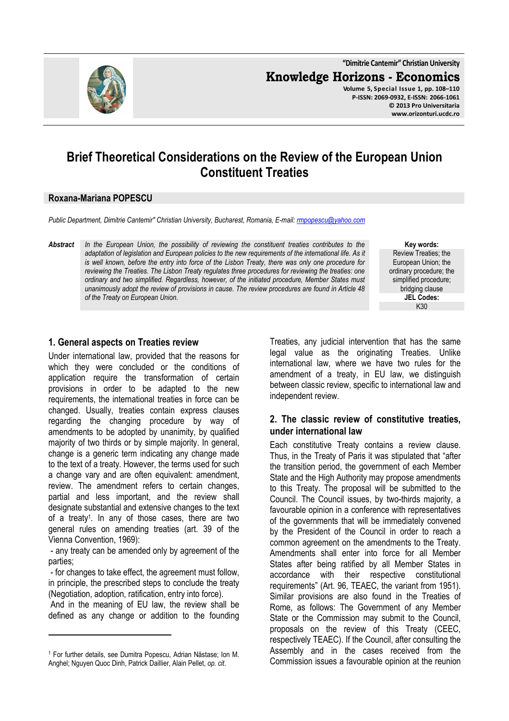

**"Dimitrie Cantemir" Christian University Knowledge Horizons - Economics Volume 5, Special Issue 1, pp. 108–110 P-ISSN: 2069-0932, E-ISSN: 2066-1061 © 2013 Pro Universitaria www.orizonturi.ucdc.ro**

# **Brief Theoretical Considerations on the Review of the European Union Constituent Treaties**

#### **Roxana-Mariana POPESCU**

*Public Department, Dimitrie Cantemir" Christian University, Bucharest, Romania, E-mail: rmpopescu@yahoo.com*

*Abstract In the European Union, the possibility of reviewing the constituent treaties contributes to the adaptation of legislation and European policies to the new requirements of the international life. As it is well known, before the entry into force of the Lisbon Treaty, there was only one procedure for reviewing the Treaties. The Lisbon Treaty regulates three procedures for reviewing the treaties: one ordinary and two simplified. Regardless, however, of the initiated procedure, Member States must unanimously adopt the review of provisions in cause. The review procedures are found in Article 48 of the Treaty on European Union.* 

**Key words:** Review Treaties; the European Union; the ordinary procedure; the simplified procedure; bridging clause **JEL Codes:** K30

#### **1. General aspects on Treaties review**

Under international law, provided that the reasons for which they were concluded or the conditions of application require the transformation of certain provisions in order to be adapted to the new requirements, the international treaties in force can be changed. Usually, treaties contain express clauses regarding the changing procedure by way of amendments to be adopted by unanimity, by qualified majority of two thirds or by simple majority. In general, change is a generic term indicating any change made to the text of a treaty. However, the terms used for such a change vary and are often equivalent: amendment, review. The amendment refers to certain changes, partial and less important, and the review shall designate substantial and extensive changes to the text of a treaty<sup>1</sup>. In any of those cases, there are two general rules on amending treaties (art. 39 of the Vienna Convention, 1969):

 - any treaty can be amended only by agreement of the parties;

 - for changes to take effect, the agreement must follow, in principle, the prescribed steps to conclude the treaty (Negotiation, adoption, ratification, entry into force).

 And in the meaning of EU law, the review shall be defined as any change or addition to the founding

l

Treaties, any judicial intervention that has the same legal value as the originating Treaties. Unlike international law, where we have two rules for the amendment of a treaty, in EU law, we distinguish between classic review, specific to international law and independent review.

### **2. The classic review of constitutive treaties, under international law**

Each constitutive Treaty contains a review clause. Thus, in the Treaty of Paris it was stipulated that "after the transition period, the government of each Member State and the High Authority may propose amendments to this Treaty. The proposal will be submitted to the Council. The Council issues, by two-thirds majority, a favourable opinion in a conference with representatives of the governments that will be immediately convened by the President of the Council in order to reach a common agreement on the amendments to the Treaty. Amendments shall enter into force for all Member States after being ratified by all Member States in accordance with their respective constitutional requirements" (Art. 96, TEAEC, the variant from 1951). Similar provisions are also found in the Treaties of Rome, as follows: The Government of any Member State or the Commission may submit to the Council, proposals on the review of this Treaty (CEEC, respectively TEAEC). If the Council, after consulting the Assembly and in the cases received from the Commission issues a favourable opinion at the reunion

<sup>1</sup> For further details, see Dumitra Popescu, Adrian Năstase; Ion M. Anghel; Nguyen Quoc Dinh, Patrick Daillier, Alain Pellet, *op. cit*.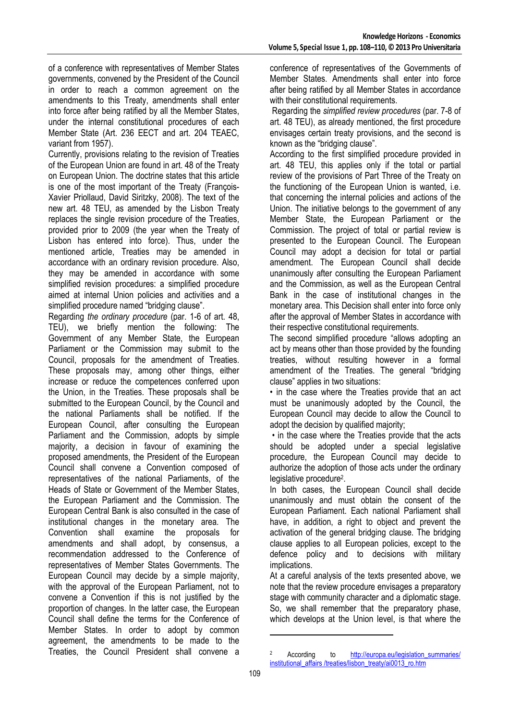of a conference with representatives of Member States governments, convened by the President of the Council in order to reach a common agreement on the amendments to this Treaty, amendments shall enter into force after being ratified by all the Member States, under the internal constitutional procedures of each Member State (Art. 236 EECT and art. 204 TEAEC, variant from 1957).

Currently, provisions relating to the revision of Treaties of the European Union are found in art. 48 of the Treaty on European Union. The doctrine states that this article is one of the most important of the Treaty (François-Xavier Priollaud, David Siritzky, 2008). The text of the new art. 48 TEU, as amended by the Lisbon Treaty replaces the single revision procedure of the Treaties, provided prior to 2009 (the year when the Treaty of Lisbon has entered into force). Thus, under the mentioned article, Treaties may be amended in accordance with an ordinary revision procedure. Also, they may be amended in accordance with some simplified revision procedures: a simplified procedure aimed at internal Union policies and activities and a simplified procedure named "bridging clause".

Regarding *the ordinary procedure* (par. 1-6 of art. 48, TEU), we briefly mention the following: The Government of any Member State, the European Parliament or the Commission may submit to the Council, proposals for the amendment of Treaties. These proposals may, among other things, either increase or reduce the competences conferred upon the Union, in the Treaties. These proposals shall be submitted to the European Council, by the Council and the national Parliaments shall be notified. If the European Council, after consulting the European Parliament and the Commission, adopts by simple majority, a decision in favour of examining the proposed amendments, the President of the European Council shall convene a Convention composed of representatives of the national Parliaments, of the Heads of State or Government of the Member States, the European Parliament and the Commission. The European Central Bank is also consulted in the case of institutional changes in the monetary area. The Convention shall examine the proposals for amendments and shall adopt, by consensus, a recommendation addressed to the Conference of representatives of Member States Governments. The European Council may decide by a simple majority, with the approval of the European Parliament, not to convene a Convention if this is not justified by the proportion of changes. In the latter case, the European Council shall define the terms for the Conference of Member States. In order to adopt by common agreement, the amendments to be made to the Treaties, the Council President shall convene a

conference of representatives of the Governments of Member States. Amendments shall enter into force after being ratified by all Member States in accordance with their constitutional requirements.

 Regarding the *simplified review procedures* (par. 7-8 of art. 48 TEU), as already mentioned, the first procedure envisages certain treaty provisions, and the second is known as the "bridging clause".

According to the first simplified procedure provided in art. 48 TEU, this applies only if the total or partial review of the provisions of Part Three of the Treaty on the functioning of the European Union is wanted, i.e. that concerning the internal policies and actions of the Union. The initiative belongs to the government of any Member State, the European Parliament or the Commission. The project of total or partial review is presented to the European Council. The European Council may adopt a decision for total or partial amendment. The European Council shall decide unanimously after consulting the European Parliament and the Commission, as well as the European Central Bank in the case of institutional changes in the monetary area. This Decision shall enter into force only after the approval of Member States in accordance with their respective constitutional requirements.

The second simplified procedure "allows adopting an act by means other than those provided by the founding treaties, without resulting however in a formal amendment of the Treaties. The general "bridging clause" applies in two situations:

• in the case where the Treaties provide that an act must be unanimously adopted by the Council, the European Council may decide to allow the Council to adopt the decision by qualified majority;

 • in the case where the Treaties provide that the acts should be adopted under a special legislative procedure, the European Council may decide to authorize the adoption of those acts under the ordinary legislative procedure<sup>2</sup>.

In both cases, the European Council shall decide unanimously and must obtain the consent of the European Parliament. Each national Parliament shall have, in addition, a right to object and prevent the activation of the general bridging clause. The bridging clause applies to all European policies, except to the defence policy and to decisions with military implications.

At a careful analysis of the texts presented above, we note that the review procedure envisages a preparatory stage with community character and a diplomatic stage. So, we shall remember that the preparatory phase, which develops at the Union level, is that where the

 $\overline{a}$ 

<sup>2</sup> According to http://europa.eu/legislation\_summaries/ institutional\_affairs /treaties/lisbon\_treaty/ai0013\_ro.htm